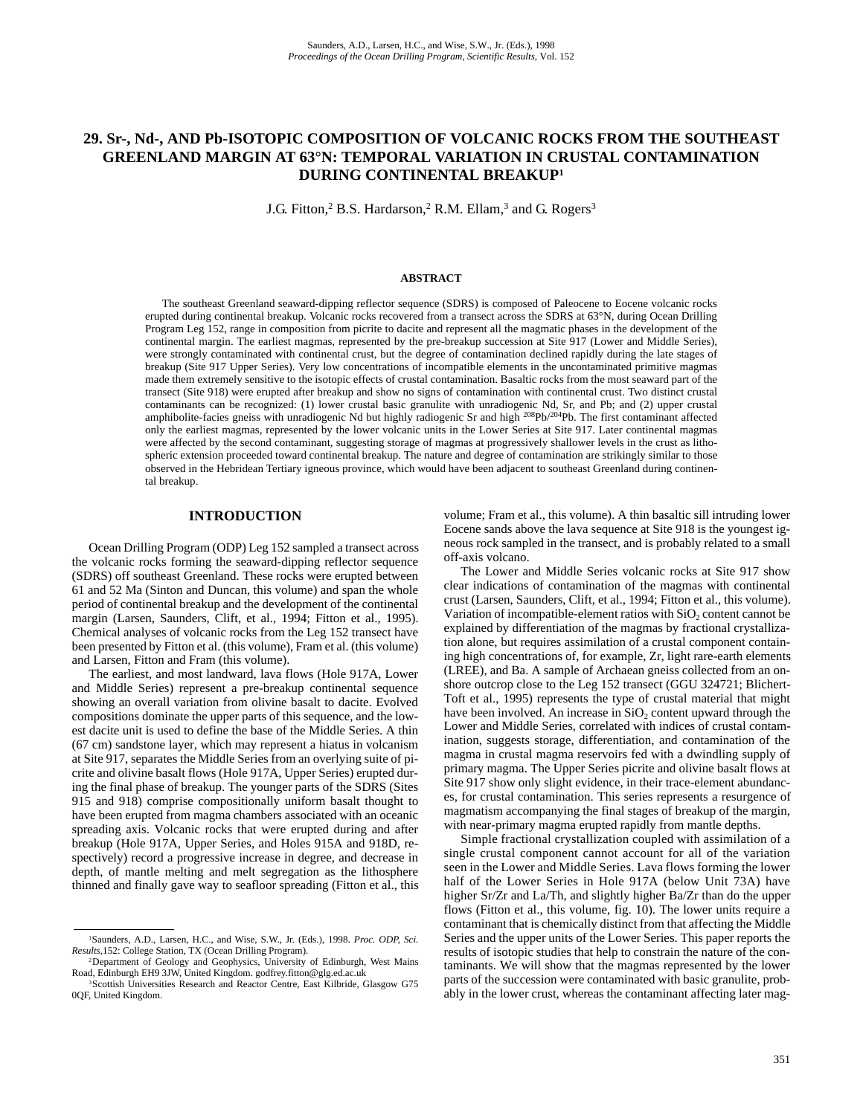# **29. Sr-, Nd-, AND Pb-ISOTOPIC COMPOSITION OF VOLCANIC ROCKS FROM THE SOUTHEAST GREENLAND MARGIN AT 63°N: TEMPORAL VARIATION IN CRUSTAL CONTAMINATION DURING CONTINENTAL BREAKUP1**

J.G. Fitton,<sup>2</sup> B.S. Hardarson,<sup>2</sup> R.M. Ellam,<sup>3</sup> and G. Rogers<sup>3</sup>

#### **ABSTRACT**

The southeast Greenland seaward-dipping reflector sequence (SDRS) is composed of Paleocene to Eocene volcanic rocks erupted during continental breakup. Volcanic rocks recovered from a transect across the SDRS at 63°N, during Ocean Drilling Program Leg 152, range in composition from picrite to dacite and represent all the magmatic phases in the development of the continental margin. The earliest magmas, represented by the pre-breakup succession at Site 917 (Lower and Middle Series), were strongly contaminated with continental crust, but the degree of contamination declined rapidly during the late stages of breakup (Site 917 Upper Series). Very low concentrations of incompatible elements in the uncontaminated primitive magmas made them extremely sensitive to the isotopic effects of crustal contamination. Basaltic rocks from the most seaward part of the transect (Site 918) were erupted after breakup and show no signs of contamination with continental crust. Two distinct crustal contaminants can be recognized: (1) lower crustal basic granulite with unradiogenic Nd, Sr, and Pb; and (2) upper crustal amphibolite-facies gneiss with unradiogenic Nd but highly radiogenic Sr and high <sup>208</sup>Pb/<sup>204</sup>Pb. The first contaminant affected only the earliest magmas, represented by the lower volcanic units in the Lower Series at Site 917. Later continental magmas were affected by the second contaminant, suggesting storage of magmas at progressively shallower levels in the crust as lithospheric extension proceeded toward continental breakup. The nature and degree of contamination are strikingly similar to those observed in the Hebridean Tertiary igneous province, which would have been adjacent to southeast Greenland during continental breakup.

#### **INTRODUCTION**

Ocean Drilling Program (ODP) Leg 152 sampled a transect across the volcanic rocks forming the seaward-dipping reflector sequence (SDRS) off southeast Greenland. These rocks were erupted between 61 and 52 Ma (Sinton and Duncan, this volume) and span the whole period of continental breakup and the development of the continental margin (Larsen, Saunders, Clift, et al., 1994; Fitton et al., 1995). Chemical analyses of volcanic rocks from the Leg 152 transect have been presented by Fitton et al. (this volume), Fram et al. (this volume) and Larsen, Fitton and Fram (this volume).

The earliest, and most landward, lava flows (Hole 917A, Lower and Middle Series) represent a pre-breakup continental sequence showing an overall variation from olivine basalt to dacite. Evolved compositions dominate the upper parts of this sequence, and the lowest dacite unit is used to define the base of the Middle Series. A thin (67 cm) sandstone layer, which may represent a hiatus in volcanism at Site 917, separates the Middle Series from an overlying suite of picrite and olivine basalt flows (Hole 917A, Upper Series) erupted during the final phase of breakup. The younger parts of the SDRS (Sites 915 and 918) comprise compositionally uniform basalt thought to have been erupted from magma chambers associated with an oceanic spreading axis. Volcanic rocks that were erupted during and after breakup (Hole 917A, Upper Series, and Holes 915A and 918D, respectively) record a progressive increase in degree, and decrease in depth, of mantle melting and melt segregation as the lithosphere thinned and finally gave way to seafloor spreading (Fitton et al., this volume; Fram et al., this volume). A thin basaltic sill intruding lower Eocene sands above the lava sequence at Site 918 is the youngest igneous rock sampled in the transect, and is probably related to a small off-axis volcano.

The Lower and Middle Series volcanic rocks at Site 917 show clear indications of contamination of the magmas with continental crust (Larsen, Saunders, Clift, et al., 1994; Fitton et al., this volume). Variation of incompatible-element ratios with  $SiO<sub>2</sub>$  content cannot be explained by differentiation of the magmas by fractional crystallization alone, but requires assimilation of a crustal component containing high concentrations of, for example, Zr, light rare-earth elements (LREE), and Ba. A sample of Archaean gneiss collected from an onshore outcrop close to the Leg 152 transect (GGU 324721; Blichert-Toft et al., 1995) represents the type of crustal material that might have been involved. An increase in  $SiO<sub>2</sub>$  content upward through the Lower and Middle Series, correlated with indices of crustal contamination, suggests storage, differentiation, and contamination of the magma in crustal magma reservoirs fed with a dwindling supply of primary magma. The Upper Series picrite and olivine basalt flows at Site 917 show only slight evidence, in their trace-element abundances, for crustal contamination. This series represents a resurgence of magmatism accompanying the final stages of breakup of the margin, with near-primary magma erupted rapidly from mantle depths.

Simple fractional crystallization coupled with assimilation of a single crustal component cannot account for all of the variation seen in the Lower and Middle Series. Lava flows forming the lower half of the Lower Series in Hole 917A (below Unit 73A) have higher Sr/Zr and La/Th, and slightly higher Ba/Zr than do the upper flows (Fitton et al., this volume, fig. 10). The lower units require a contaminant that is chemically distinct from that affecting the Middle Series and the upper units of the Lower Series. This paper reports the results of isotopic studies that help to constrain the nature of the contaminants. We will show that the magmas represented by the lower parts of the succession were contaminated with basic granulite, probably in the lower crust, whereas the contaminant affecting later mag-

<sup>1</sup>Saunders, A.D., Larsen, H.C., and Wise, S.W., Jr. (Eds.), 1998. *Proc. ODP, Sci. Results,*152: College Station, TX (Ocean Drilling Program).

<sup>2</sup>Department of Geology and Geophysics, University of Edinburgh, West Mains Road, Edinburgh EH9 3JW, United Kingdom. godfrey.fitton@glg.ed.ac.uk

<sup>3</sup>Scottish Universities Research and Reactor Centre, East Kilbride, Glasgow G75 0QF, United Kingdom.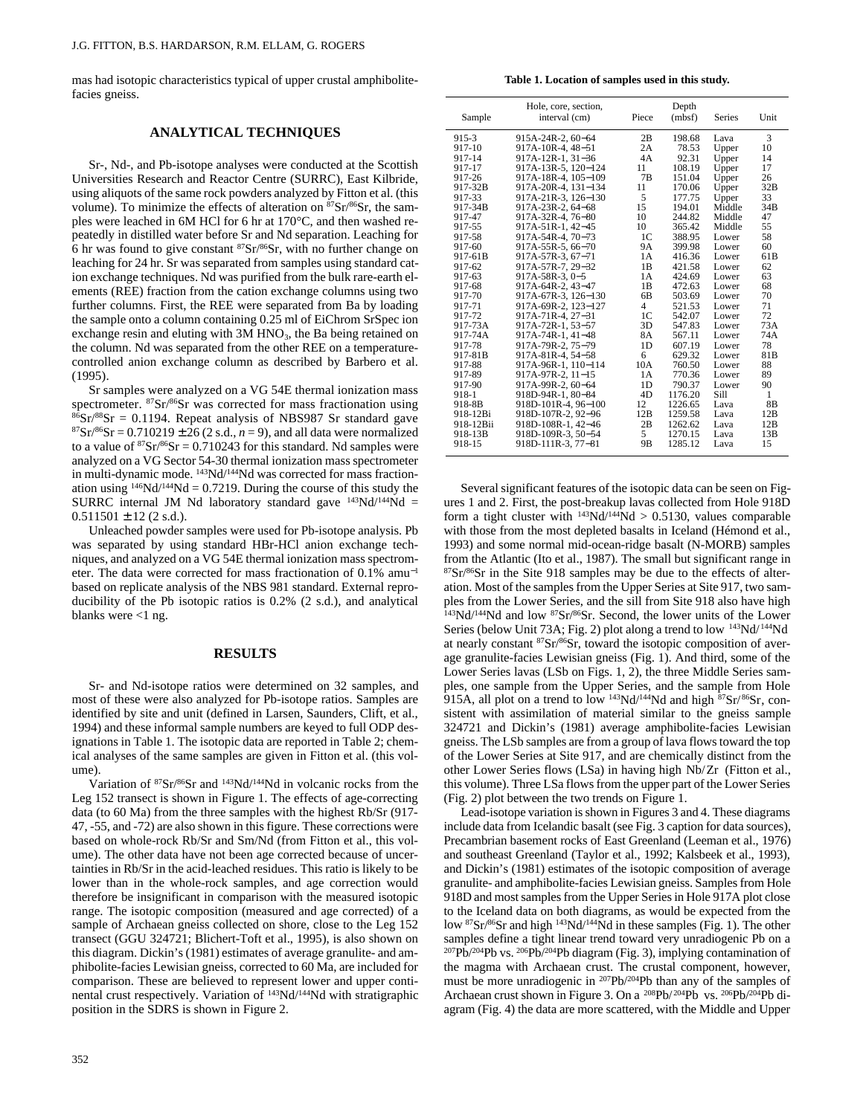mas had isotopic characteristics typical of upper crustal amphibolitefacies gneiss.

# **ANALYTICAL TECHNIQUES**

Sr-, Nd-, and Pb-isotope analyses were conducted at the Scottish Universities Research and Reactor Centre (SURRC), East Kilbride, using aliquots of the same rock powders analyzed by Fitton et al. (this volume). To minimize the effects of alteration on <sup>87</sup>Sr/<sup>86</sup>Sr, the samples were leached in 6M HCl for 6 hr at 170°C, and then washed repeatedly in distilled water before Sr and Nd separation. Leaching for 6 hr was found to give constant  $87Sr/86Sr$ , with no further change on leaching for 24 hr. Sr was separated from samples using standard cation exchange techniques. Nd was purified from the bulk rare-earth elements (REE) fraction from the cation exchange columns using two further columns. First, the REE were separated from Ba by loading the sample onto a column containing 0.25 ml of EiChrom SrSpec ion exchange resin and eluting with  $3M HNO<sub>3</sub>$ , the Ba being retained on the column. Nd was separated from the other REE on a temperaturecontrolled anion exchange column as described by Barbero et al. (1995).

Sr samples were analyzed on a VG 54E thermal ionization mass spectrometer. 87Sr/86Sr was corrected for mass fractionation using  $86Sr/88Sr = 0.1194$ . Repeat analysis of NBS987 Sr standard gave  ${}^{87}Sr/{}^{86}Sr = 0.710219 \pm 26 (2 s.d., n = 9)$ , and all data were normalized to a value of  $87Sr/86Sr = 0.710243$  for this standard. Nd samples were analyzed on a VG Sector 54-30 thermal ionization mass spectrometer in multi-dynamic mode. <sup>143</sup>Nd/<sup>144</sup>Nd was corrected for mass fractionation using  $146Nd/144Nd = 0.7219$ . During the course of this study the SURRC internal JM Nd laboratory standard gave  $143Nd/144Nd =$  $0.511501 \pm 12$  (2 s.d.).

Unleached powder samples were used for Pb-isotope analysis. Pb was separated by using standard HBr-HCl anion exchange techniques, and analyzed on a VG 54E thermal ionization mass spectrometer. The data were corrected for mass fractionation of 0.1% amu<sup>−</sup><sup>1</sup> based on replicate analysis of the NBS 981 standard. External reproducibility of the Pb isotopic ratios is 0.2% (2 s.d.), and analytical blanks were  $<$ 1 ng.

## **RESULTS**

Sr- and Nd-isotope ratios were determined on 32 samples, and most of these were also analyzed for Pb-isotope ratios. Samples are identified by site and unit (defined in Larsen, Saunders, Clift, et al., 1994) and these informal sample numbers are keyed to full ODP designations in Table 1. The isotopic data are reported in Table 2; chemical analyses of the same samples are given in Fitton et al. (this volume).

Variation of 87Sr/86Sr and 143Nd/144Nd in volcanic rocks from the Leg 152 transect is shown in Figure 1. The effects of age-correcting data (to 60 Ma) from the three samples with the highest Rb/Sr (917- 47, -55, and -72) are also shown in this figure. These corrections were based on whole-rock Rb/Sr and Sm/Nd (from Fitton et al., this volume). The other data have not been age corrected because of uncertainties in Rb/Sr in the acid-leached residues. This ratio is likely to be lower than in the whole-rock samples, and age correction would therefore be insignificant in comparison with the measured isotopic range. The isotopic composition (measured and age corrected) of a sample of Archaean gneiss collected on shore, close to the Leg 152 transect (GGU 324721; Blichert-Toft et al., 1995), is also shown on this diagram. Dickin's (1981) estimates of average granulite- and amphibolite-facies Lewisian gneiss, corrected to 60 Ma, are included for comparison. These are believed to represent lower and upper continental crust respectively. Variation of 143Nd/144Nd with stratigraphic position in the SDRS is shown in Figure 2.

**Table 1. Location of samples used in this study.**

| Sample    | Hole, core, section,<br>interval (cm) | Piece          | Depth<br>(mbf) |        | Unit            |
|-----------|---------------------------------------|----------------|----------------|--------|-----------------|
| 915-3     | 915A-24R-2, 60-64                     | 2B             | 198.68         | Lava   | 3               |
| 917-10    | 917A-10R-4, 48-51                     | 2A             | 78.53          | Upper  | 10              |
| 917-14    | 917A-12R-1, 31-36                     | 4A             | 92.31          | Upper  | 14              |
| 917-17    | 917A-13R-5, 120-124                   | 11             | 108.19         | Upper  | 17              |
| 917-26    | 917A-18R-4, 105-109                   | 7B             | 151.04         | Upper  | 26              |
| 917-32B   | 917A-20R-4, 131-134                   | 11             | 170.06         | Upper  | 32B             |
| 917-33    | 917A-21R-3, 126-130                   | 5              | 177.75         | Upper  | 33              |
| 917-34B   | 917A-23R-2, 64-68                     | 15             | 194.01         | Middle | 34 <sub>B</sub> |
| 917-47    | 917A-32R-4, 76-80                     | 10             | 244.82         | Middle | 47              |
| 917-55    | 917A-51R-1, 42-45                     | 10             | 365.42         | Middle | 55              |
| 917-58    | 917A-54R-4, 70-73                     | 1C             | 388.95         | Lower  | 58              |
| 917-60    | 917A-55R-5, 66-70                     | 9Α             | 399.98         | Lower  | 60              |
| 917-61B   | 917A-57R-3, 67-71                     | 1A             | 416.36         | Lower  | 61 <sub>B</sub> |
| 917-62    | 917A-57R-7, 29-32                     | 1 <sub>B</sub> | 421.58         | Lower  | 62              |
| 917-63    | 917A-58R-3, 0-5                       | 1A             | 424.69         | Lower  | 63              |
| 917-68    | 917A-64R-2, 43-47                     | 1 <sub>B</sub> | 472.63         | Lower  | 68              |
| 917-70    | 917A-67R-3, 126-130                   | 6 <sub>B</sub> | 503.69         | Lower  | 70              |
| 917-71    | 917A-69R-2, 123-127                   | $\overline{4}$ | 521.53         | Lower  | 71              |
| 917-72    | 917A-71R-4, 27-31                     | 1 <sup>C</sup> | 542.07         | Lower  | 72              |
| 917-73A   | 917A-72R-1, 53-57                     | 3D             | 547.83         | Lower  | 73A             |
| 917-74A   | 917A-74R-1, 41-48                     | <b>8A</b>      | 567.11         | Lower  | 74A             |
| 917-78    | 917A-79R-2, 75-79                     | 1 <sub>D</sub> | 607.19         | Lower  | 78              |
| 917-81B   | 917A-81R-4, 54-58                     | 6              | 629.32         | Lower  | 81 <sub>B</sub> |
| 917-88    | 917A-96R-1, 110-114                   | 10A            | 760.50         | Lower  | 88              |
| 917-89    | 917A-97R-2, 11-15                     | 1A             | 770.36         | Lower  | 89              |
| 917-90    | 917A-99R-2, 60-64                     | 1 <sub>D</sub> | 790.37         | Lower  | 90              |
| 918-1     | 918D-94R-1, 80-84                     | 4D             | 1176.20        | Sill   | 1               |
| 918-8B    | 918D-101R-4, 96-100                   | 12             | 1226.65        | Lava   | 8 <sub>B</sub>  |
| 918-12Bi  | 918D-107R-2, 92-96                    | 12B            | 1259.58        | Lava   | 12B             |
| 918-12Bii | 918D-108R-1, 42-46                    | 2B             | 1262.62        | Lava   | 12B             |
| 918-13B   | 918D-109R-3, 50-54                    | 5              | 1270.15        | Lava   | 13B             |
| 918-15    | 918D-111R-3, 77-81                    | 9 <sub>B</sub> | 1285.12        | Lava   | 15              |

Several significant features of the isotopic data can be seen on Figures 1 and 2. First, the post-breakup lavas collected from Hole 918D form a tight cluster with  $^{143}Nd/^{144}Nd > 0.5130$ , values comparable with those from the most depleted basalts in Iceland (Hémond et al., 1993) and some normal mid-ocean-ridge basalt (N-MORB) samples from the Atlantic (Ito et al., 1987). The small but significant range in 87Sr/86Sr in the Site 918 samples may be due to the effects of alteration. Most of the samples from the Upper Series at Site 917, two samples from the Lower Series, and the sill from Site 918 also have high  $143Nd/144Nd$  and low  $87Sr/86Sr$ . Second, the lower units of the Lower Series (below Unit 73A; Fig. 2) plot along a trend to low  $^{143}$ Nd/ $^{144}$ Nd at nearly constant 87Sr/86Sr, toward the isotopic composition of average granulite-facies Lewisian gneiss (Fig. 1). And third, some of the Lower Series lavas (LSb on Figs. 1, 2), the three Middle Series samples, one sample from the Upper Series, and the sample from Hole 915A, all plot on a trend to low  $143Nd/144Nd$  and high  $87Sr/86Sr$ , consistent with assimilation of material similar to the gneiss sample 324721 and Dickin's (1981) average amphibolite-facies Lewisian gneiss. The LSb samples are from a group of lava flows toward the top of the Lower Series at Site 917, and are chemically distinct from the other Lower Series flows (LSa) in having high Nb/Zr (Fitton et al., this volume). Three LSa flows from the upper part of the Lower Series (Fig. 2) plot between the two trends on Figure 1.

Lead-isotope variation is shown in Figures 3 and 4. These diagrams include data from Icelandic basalt (see Fig. 3 caption for data sources), Precambrian basement rocks of East Greenland (Leeman et al., 1976) and southeast Greenland (Taylor et al., 1992; Kalsbeek et al., 1993), and Dickin's (1981) estimates of the isotopic composition of average granulite- and amphibolite-facies Lewisian gneiss. Samples from Hole 918D and most samples from the Upper Series in Hole 917A plot close to the Iceland data on both diagrams, as would be expected from the low 87Sr/86Sr and high 143Nd/144Nd in these samples (Fig. 1). The other samples define a tight linear trend toward very unradiogenic Pb on a 207Pb/204Pb vs. 206Pb/204Pb diagram (Fig. 3), implying contamination of the magma with Archaean crust. The crustal component, however, must be more unradiogenic in 207Pb/204Pb than any of the samples of Archaean crust shown in Figure 3. On a <sup>208</sup>Pb/<sup>204</sup>Pb vs. <sup>206</sup>Pb/<sup>204</sup>Pb diagram (Fig. 4) the data are more scattered, with the Middle and Upper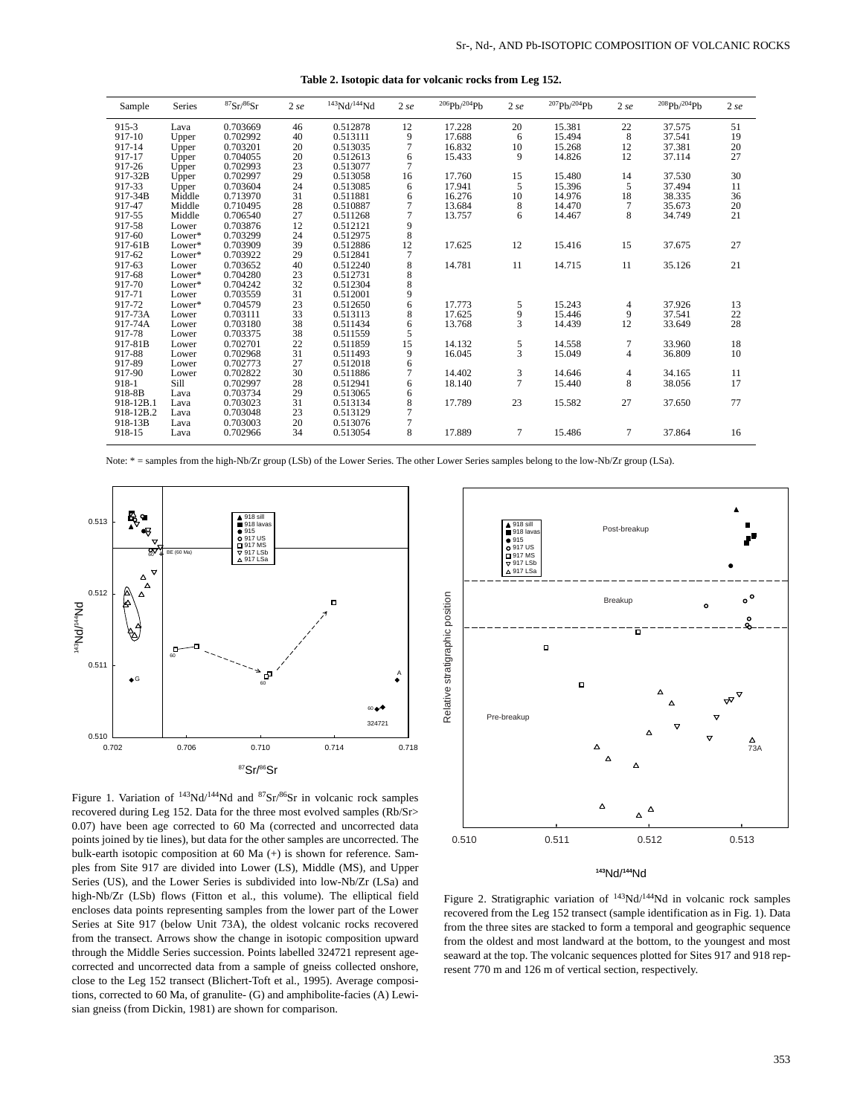| Sample    | Series | ${}^{87}Sr/{}^{86}Sr$ | 2 se | 143Nd/144Nd | 2 se | 206Pb/204Pb | 2 se           | 207Ph/204Ph | 2 se           | 208Ph/204Ph | 2 se |
|-----------|--------|-----------------------|------|-------------|------|-------------|----------------|-------------|----------------|-------------|------|
| $915 - 3$ | Lava   | 0.703669              | 46   | 0.512878    | 12   | 17.228      | 20             | 15.381      | 22             | 37.575      | 51   |
| 917-10    | Upper  | 0.702992              | 40   | 0.513111    | 9    | 17.688      | 6              | 15.494      | 8              | 37.541      | 19   |
| 917-14    | Upper  | 0.703201              | 20   | 0.513035    | 7    | 16.832      | 10             | 15.268      | 12             | 37.381      | 20   |
| 917-17    | Upper  | 0.704055              | 20   | 0.512613    | 6    | 15.433      | 9              | 14.826      | 12             | 37.114      | 27   |
| 917-26    | Upper  | 0.702993              | 23   | 0.513077    | 7    |             |                |             |                |             |      |
| 917-32B   | Upper  | 0.702997              | 29   | 0.513058    | 16   | 17.760      | 15             | 15.480      | 14             | 37.530      | 30   |
| 917-33    | Upper  | 0.703604              | 24   | 0.513085    | 6    | 17.941      | 5              | 15.396      | 5              | 37.494      | 11   |
| 917-34B   | Middle | 0.713970              | 31   | 0.511881    | 6    | 16.276      | 10             | 14.976      | 18             | 38.335      | 36   |
| 917-47    | Middle | 0.710495              | 28   | 0.510887    | 7    | 13.684      | 8              | 14.470      | 7              | 35.673      | 20   |
| 917-55    | Middle | 0.706540              | 27   | 0.511268    | 7    | 13.757      | 6              | 14.467      | 8              | 34.749      | 21   |
| 917-58    | Lower  | 0.703876              | 12   | 0.512121    | 9    |             |                |             |                |             |      |
| 917-60    | Lower* | 0.703299              | 24   | 0.512975    | 8    |             |                |             |                |             |      |
| 917-61B   | Lower* | 0.703909              | 39   | 0.512886    | 12   | 17.625      | 12             | 15.416      | 15             | 37.675      | 27   |
| 917-62    | Lower* | 0.703922              | 29   | 0.512841    | 7    |             |                |             |                |             |      |
| 917-63    | Lower  | 0.703652              | 40   | 0.512240    | 8    | 14.781      | 11             | 14.715      | 11             | 35.126      | 21   |
| 917-68    | Lower* | 0.704280              | 23   | 0.512731    | 8    |             |                |             |                |             |      |
| 917-70    | Lower* | 0.704242              | 32   | 0.512304    | 8    |             |                |             |                |             |      |
| 917-71    | Lower  | 0.703559              | 31   | 0.512001    | 9    |             |                |             |                |             |      |
| 917-72    | Lower* | 0.704579              | 23   | 0.512650    | 6    | 17.773      | 5              | 15.243      | 4              | 37.926      | 13   |
| 917-73A   | Lower  | 0.703111              | 33   | 0.513113    | 8    | 17.625      | 9              | 15.446      | 9              | 37.541      | 22   |
| 917-74A   | Lower  | 0.703180              | 38   | 0.511434    | 6    | 13.768      | $\overline{3}$ | 14.439      | 12             | 33.649      | 28   |
| 917-78    | Lower  | 0.703375              | 38   | 0.511559    | 5    |             |                |             |                |             |      |
| 917-81B   | Lower  | 0.702701              | 22   | 0.511859    | 15   | 14.132      | $\frac{5}{3}$  | 14.558      | $\tau$         | 33.960      | 18   |
| 917-88    | Lower  | 0.702968              | 31   | 0.511493    | 9    | 16.045      |                | 15.049      | $\overline{4}$ | 36.809      | 10   |
| 917-89    | Lower  | 0.702773              | 27   | 0.512018    | 6    |             |                |             |                |             |      |
| 917-90    | Lower  | 0.702822              | 30   | 0.511886    | 7    | 14.402      | 3              | 14.646      | $\overline{4}$ | 34.165      | 11   |
| 918-1     | Sill   | 0.702997              | 28   | 0.512941    | 6    | 18.140      | $\overline{7}$ | 15.440      | 8              | 38.056      | 17   |
| 918-8B    | Lava   | 0.703734              | 29   | 0.513065    | 6    |             |                |             |                |             |      |
| 918-12B.1 | Lava   | 0.703023              | 31   | 0.513134    | 8    | 17.789      | 23             | 15.582      | 27             | 37.650      | 77   |
| 918-12B.2 | Lava   | 0.703048              | 23   | 0.513129    | 7    |             |                |             |                |             |      |
| 918-13B   | Lava   | 0.703003              | 20   | 0.513076    | 7    |             |                |             |                |             |      |
| 918-15    | Lava   | 0.702966              | 34   | 0.513054    | 8    | 17.889      | 7              | 15.486      | 7              | 37.864      | 16   |
|           |        |                       |      |             |      |             |                |             |                |             |      |

**Table 2. Isotopic data for volcanic rocks from Leg 152.**

Note: \* = samples from the high-Nb/Zr group (LSb) of the Lower Series. The other Lower Series samples belong to the low-Nb/Zr group (LSa).



Figure 1. Variation of <sup>143</sup>Nd/<sup>144</sup>Nd and <sup>87</sup>Sr/<sup>86</sup>Sr in volcanic rock samples recovered during Leg 152. Data for the three most evolved samples (Rb/Sr> 0.07) have been age corrected to 60 Ma (corrected and uncorrected data points joined by tie lines), but data for the other samples are uncorrected. The bulk-earth isotopic composition at 60 Ma (+) is shown for reference. Samples from Site 917 are divided into Lower (LS), Middle (MS), and Upper Series (US), and the Lower Series is subdivided into low-Nb/Zr (LSa) and high-Nb/Zr (LSb) flows (Fitton et al., this volume). The elliptical field encloses data points representing samples from the lower part of the Lower Series at Site 917 (below Unit 73A), the oldest volcanic rocks recovered from the transect. Arrows show the change in isotopic composition upward through the Middle Series succession. Points labelled 324721 represent agecorrected and uncorrected data from a sample of gneiss collected onshore, close to the Leg 152 transect (Blichert-Toft et al., 1995). Average compositions, corrected to 60 Ma, of granulite- (G) and amphibolite-facies (A) Lewisian gneiss (from Dickin, 1981) are shown for comparison.



#### **<sup>143</sup>**Nd/**144**Nd

Figure 2. Stratigraphic variation of 143Nd/144Nd in volcanic rock samples recovered from the Leg 152 transect (sample identification as in Fig. 1). Data from the three sites are stacked to form a temporal and geographic sequence from the oldest and most landward at the bottom, to the youngest and most seaward at the top. The volcanic sequences plotted for Sites 917 and 918 represent 770 m and 126 m of vertical section, respectively.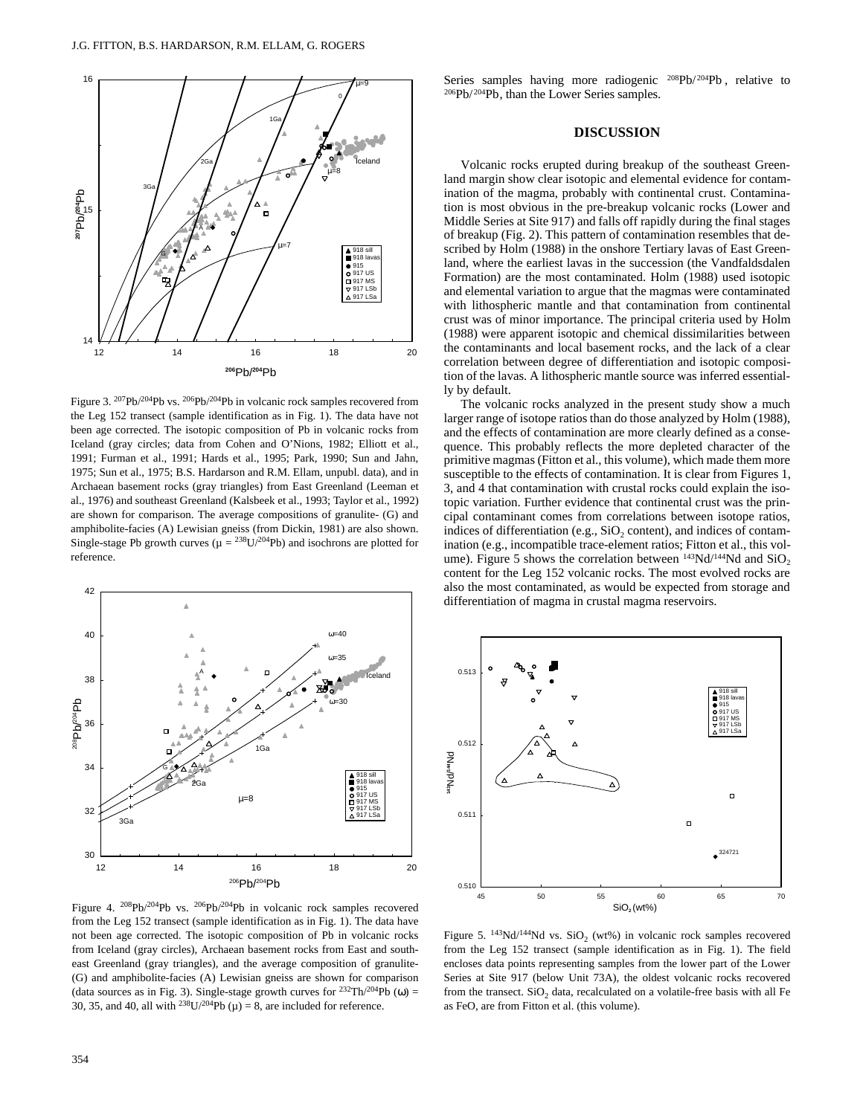

Figure 3. 207Pb/204Pb vs. 206Pb/204Pb in volcanic rock samples recovered from the Leg 152 transect (sample identification as in Fig. 1). The data have not been age corrected. The isotopic composition of Pb in volcanic rocks from Iceland (gray circles; data from Cohen and O'Nions, 1982; Elliott et al., 1991; Furman et al., 1991; Hards et al., 1995; Park, 1990; Sun and Jahn, 1975; Sun et al., 1975; B.S. Hardarson and R.M. Ellam, unpubl. data), and in Archaean basement rocks (gray triangles) from East Greenland (Leeman et al., 1976) and southeast Greenland (Kalsbeek et al., 1993; Taylor et al., 1992) are shown for comparison. The average compositions of granulite- (G) and amphibolite-facies (A) Lewisian gneiss (from Dickin, 1981) are also shown. Single-stage Pb growth curves ( $\mu = {}^{238}U/{}^{204}Pb$ ) and isochrons are plotted for reference.



Figure 4. 208Pb/204Pb vs. 206Pb/204Pb in volcanic rock samples recovered from the Leg 152 transect (sample identification as in Fig. 1). The data have not been age corrected. The isotopic composition of Pb in volcanic rocks from Iceland (gray circles), Archaean basement rocks from East and southeast Greenland (gray triangles), and the average composition of granulite- (G) and amphibolite-facies (A) Lewisian gneiss are shown for comparison (data sources as in Fig. 3). Single-stage growth curves for  $^{232}Th/^{204}Pb$  (ω) = 30, 35, and 40, all with <sup>238</sup>U/<sup>204</sup>Pb ( $\mu$ ) = 8, are included for reference.

Series samples having more radiogenic <sup>208</sup>Pb/<sup>204</sup>Pb, relative to  $206Pb/204Pb$ , than the Lower Series samples.

## **DISCUSSION**

Volcanic rocks erupted during breakup of the southeast Greenland margin show clear isotopic and elemental evidence for contamination of the magma, probably with continental crust. Contamination is most obvious in the pre-breakup volcanic rocks (Lower and Middle Series at Site 917) and falls off rapidly during the final stages of breakup (Fig. 2). This pattern of contamination resembles that described by Holm (1988) in the onshore Tertiary lavas of East Greenland, where the earliest lavas in the succession (the Vandfaldsdalen Formation) are the most contaminated. Holm (1988) used isotopic and elemental variation to argue that the magmas were contaminated with lithospheric mantle and that contamination from continental crust was of minor importance. The principal criteria used by Holm (1988) were apparent isotopic and chemical dissimilarities between the contaminants and local basement rocks, and the lack of a clear correlation between degree of differentiation and isotopic composition of the lavas. A lithospheric mantle source was inferred essentially by default.

The volcanic rocks analyzed in the present study show a much larger range of isotope ratios than do those analyzed by Holm (1988), and the effects of contamination are more clearly defined as a consequence. This probably reflects the more depleted character of the primitive magmas (Fitton et al., this volume), which made them more susceptible to the effects of contamination. It is clear from Figures 1, 3, and 4 that contamination with crustal rocks could explain the isotopic variation. Further evidence that continental crust was the principal contaminant comes from correlations between isotope ratios, indices of differentiation (e.g.,  $SiO<sub>2</sub>$  content), and indices of contamination (e.g., incompatible trace-element ratios; Fitton et al., this volume). Figure 5 shows the correlation between  $^{143}Nd/^{144}Nd$  and  $SiO<sub>2</sub>$ content for the Leg 152 volcanic rocks. The most evolved rocks are also the most contaminated, as would be expected from storage and differentiation of magma in crustal magma reservoirs.



Figure 5.  $143Nd/144Nd$  vs.  $SiO<sub>2</sub>$  (wt%) in volcanic rock samples recovered from the Leg 152 transect (sample identification as in Fig. 1). The field encloses data points representing samples from the lower part of the Lower Series at Site 917 (below Unit 73A), the oldest volcanic rocks recovered from the transect.  $SiO<sub>2</sub>$  data, recalculated on a volatile-free basis with all Fe as FeO, are from Fitton et al. (this volume).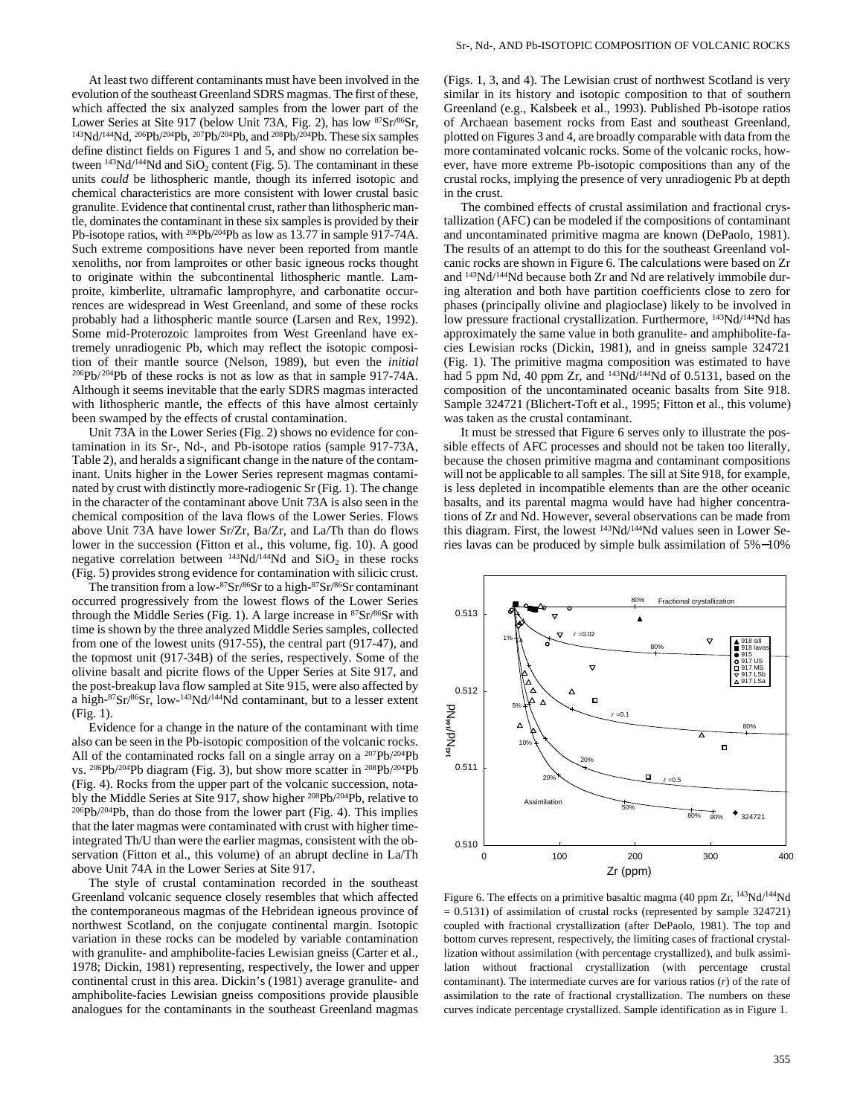At least two different contaminants must have been involved in the evolution of the southeast Greenland SDRS magmas. The first of these, which affected the six analyzed samples from the lower part of the Lower Series at Site 917 (below Unit 73A, Fig. 2), has low  $87$ Sr/ $86$ Sr,  $143$ Nd/ $144$ Nd,  $206$ Pb/ $204$ Pb,  $207$ Pb/ $204$ Pb, and  $208$ Pb/ $204$ Pb. These six samples define distinct fields on Figures 1 and 5, and show no correlation between  $^{143}Nd/^{144}Nd$  and  $SiO<sub>2</sub>$  content (Fig. 5). The contaminant in these units *could* be lithospheric mantle, though its inferred isotopic and chemical characteristics are more consistent with lower crustal basic granulite. Evidence that continental crust, rather than lithospheric mantle, dominates the contaminant in these six samples is provided by their Pb-isotope ratios, with <sup>206</sup>Pb/<sup>204</sup>Pb as low as 13.77 in sample 917-74A. Such extreme compositions have never been reported from mantle xenoliths, nor from lamproites or other basic igneous rocks thought to originate within the subcontinental lithospheric mantle. Lamproite, kimberlite, ultramafic lamprophyre, and carbonatite occurrences are widespread in West Greenland, and some of these rocks probably had a lithospheric mantle source (Larsen and Rex, 1992). Some mid-Proterozoic lamproites from West Greenland have extremely unradiogenic Pb, which may reflect the isotopic composition of their mantle source (Nelson, 1989), but even the *initial*  $^{206}Pb/^{204}Pb$  of these rocks is not as low as that in sample 917-74A. Although it seems inevitable that the early SDRS magmas interacted with lithospheric mantle, the effects of this have almost certainly been swamped by the effects of crustal contamination.

Unit 73A in the Lower Series (Fig. 2) shows no evidence for contamination in its Sr-, Nd-, and Pb-isotope ratios (sample 917-73A, Table 2), and heralds a significant change in the nature of the contaminant. Units higher in the Lower Series represent magmas contaminated by crust with distinctly more-radiogenic Sr (Fig. 1). The change in the character of the contaminant above Unit 73A is also seen in the chemical composition of the lava flows of the Lower Series. Flows above Unit 73A have lower Sr/Zr, Ba/Zr, and La/Th than do flows lower in the succession (Fitton et al., this volume, fig. 10). A good negative correlation between  $^{143}Nd/^{144}Nd$  and  $SiO<sub>2</sub>$  in these rocks (Fig. 5) provides strong evidence for contamination with silicic crust.

The transition from a low-87Sr/86Sr to a high-87Sr/86Sr contaminant occurred progressively from the lowest flows of the Lower Series through the Middle Series (Fig. 1). A large increase in  $87Sr/86Sr$  with time is shown by the three analyzed Middle Series samples, collected from one of the lowest units (917-55), the central part (917-47), and the topmost unit (917-34B) of the series, respectively. Some of the olivine basalt and picrite flows of the Upper Series at Site 917, and the post-breakup lava flow sampled at Site 915, were also affected by a high-87Sr/86Sr, low-143Nd/144Nd contaminant, but to a lesser extent (Fig. 1).

Evidence for a change in the nature of the contaminant with time also can be seen in the Pb-isotopic composition of the volcanic rocks. All of the contaminated rocks fall on a single array on a 207Pb/204Pb vs. 206Pb/204Pb diagram (Fig. 3), but show more scatter in 208Pb/204Pb (Fig. 4). Rocks from the upper part of the volcanic succession, notably the Middle Series at Site 917, show higher 208Pb/204Pb, relative to  $206Pb/204Pb$ , than do those from the lower part (Fig. 4). This implies that the later magmas were contaminated with crust with higher timeintegrated Th/U than were the earlier magmas, consistent with the observation (Fitton et al., this volume) of an abrupt decline in La/Th above Unit 74A in the Lower Series at Site 917.

The style of crustal contamination recorded in the southeast Greenland volcanic sequence closely resembles that which affected the contemporaneous magmas of the Hebridean igneous province of northwest Scotland, on the conjugate continental margin. Isotopic variation in these rocks can be modeled by variable contamination with granulite- and amphibolite-facies Lewisian gneiss (Carter et al., 1978; Dickin, 1981) representing, respectively, the lower and upper continental crust in this area. Dickin's (1981) average granulite- and amphibolite-facies Lewisian gneiss compositions provide plausible analogues for the contaminants in the southeast Greenland magmas (Figs. 1, 3, and 4). The Lewisian crust of northwest Scotland is very similar in its history and isotopic composition to that of southern Greenland (e.g., Kalsbeek et al., 1993). Published Pb-isotope ratios of Archaean basement rocks from East and southeast Greenland, plotted on Figures 3 and 4, are broadly comparable with data from the more contaminated volcanic rocks. Some of the volcanic rocks, however, have more extreme Pb-isotopic compositions than any of the crustal rocks, implying the presence of very unradiogenic Pb at depth in the crust.

The combined effects of crustal assimilation and fractional crystallization (AFC) can be modeled if the compositions of contaminant and uncontaminated primitive magma are known (DePaolo, 1981). The results of an attempt to do this for the southeast Greenland volcanic rocks are shown in Figure 6. The calculations were based on Zr and 143Nd/144Nd because both Zr and Nd are relatively immobile during alteration and both have partition coefficients close to zero for phases (principally olivine and plagioclase) likely to be involved in low pressure fractional crystallization. Furthermore,  $^{143}Nd/^{144}Nd$  has approximately the same value in both granulite- and amphibolite-facies Lewisian rocks (Dickin, 1981), and in gneiss sample 324721 (Fig. 1). The primitive magma composition was estimated to have had 5 ppm Nd, 40 ppm Zr, and  $^{143}$ Nd/ $^{144}$ Nd of 0.5131, based on the composition of the uncontaminated oceanic basalts from Site 918. Sample 324721 (Blichert-Toft et al., 1995; Fitton et al., this volume) was taken as the crustal contaminant.

It must be stressed that Figure 6 serves only to illustrate the possible effects of AFC processes and should not be taken too literally, because the chosen primitive magma and contaminant compositions will not be applicable to all samples. The sill at Site 918, for example, is less depleted in incompatible elements than are the other oceanic basalts, and its parental magma would have had higher concentrations of Zr and Nd. However, several observations can be made from this diagram. First, the lowest 143Nd/144Nd values seen in Lower Series lavas can be produced by simple bulk assimilation of 5%−10%



Figure 6. The effects on a primitive basaltic magma (40 ppm Zr,  $^{143}Nd/^{144}Nd$  $= 0.5131$ ) of assimilation of crustal rocks (represented by sample 324721) coupled with fractional crystallization (after DePaolo, 1981). The top and bottom curves represent, respectively, the limiting cases of fractional crystallization without assimilation (with percentage crystallized), and bulk assimilation without fractional crystallization (with percentage crustal contaminant). The intermediate curves are for various ratios (*r*) of the rate of assimilation to the rate of fractional crystallization. The numbers on these curves indicate percentage crystallized. Sample identification as in Figure 1.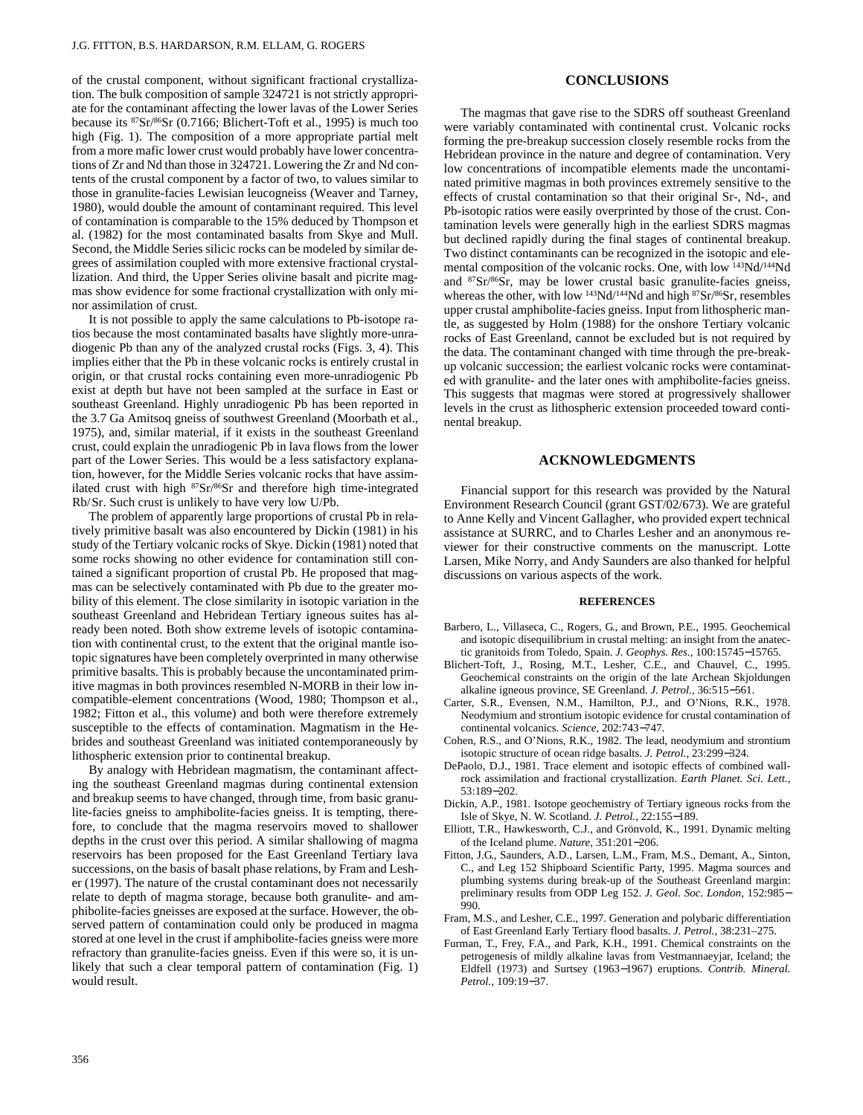of the crustal component, without significant fractional crystallization. The bulk composition of sample 324721 is not strictly appropriate for the contaminant affecting the lower lavas of the Lower Series because its 87Sr/86Sr (0.7166; Blichert-Toft et al., 1995) is much too high (Fig. 1). The composition of a more appropriate partial melt from a more mafic lower crust would probably have lower concentrations of Zr and Nd than those in 324721. Lowering the Zr and Nd contents of the crustal component by a factor of two, to values similar to those in granulite-facies Lewisian leucogneiss (Weaver and Tarney, 1980), would double the amount of contaminant required. This level of contamination is comparable to the 15% deduced by Thompson et al. (1982) for the most contaminated basalts from Skye and Mull. Second, the Middle Series silicic rocks can be modeled by similar degrees of assimilation coupled with more extensive fractional crystallization. And third, the Upper Series olivine basalt and picrite magmas show evidence for some fractional crystallization with only minor assimilation of crust.

It is not possible to apply the same calculations to Pb-isotope ratios because the most contaminated basalts have slightly more-unradiogenic Pb than any of the analyzed crustal rocks (Figs. 3, 4). This implies either that the Pb in these volcanic rocks is entirely crustal in origin, or that crustal rocks containing even more-unradiogenic Pb exist at depth but have not been sampled at the surface in East or southeast Greenland. Highly unradiogenic Pb has been reported in the 3.7 Ga Amitsoq gneiss of southwest Greenland (Moorbath et al., 1975), and, similar material, if it exists in the southeast Greenland crust, could explain the unradiogenic Pb in lava flows from the lower part of the Lower Series. This would be a less satisfactory explanation, however, for the Middle Series volcanic rocks that have assimilated crust with high 87Sr/86Sr and therefore high time-integrated Rb/Sr. Such crust is unlikely to have very low U/Pb.

The problem of apparently large proportions of crustal Pb in relatively primitive basalt was also encountered by Dickin (1981) in his study of the Tertiary volcanic rocks of Skye. Dickin (1981) noted that some rocks showing no other evidence for contamination still contained a significant proportion of crustal Pb. He proposed that magmas can be selectively contaminated with Pb due to the greater mobility of this element. The close similarity in isotopic variation in the southeast Greenland and Hebridean Tertiary igneous suites has already been noted. Both show extreme levels of isotopic contamination with continental crust, to the extent that the original mantle isotopic signatures have been completely overprinted in many otherwise primitive basalts. This is probably because the uncontaminated primitive magmas in both provinces resembled N-MORB in their low incompatible-element concentrations (Wood, 1980; Thompson et al., 1982; Fitton et al., this volume) and both were therefore extremely susceptible to the effects of contamination. Magmatism in the Hebrides and southeast Greenland was initiated contemporaneously by lithospheric extension prior to continental breakup.

By analogy with Hebridean magmatism, the contaminant affecting the southeast Greenland magmas during continental extension and breakup seems to have changed, through time, from basic granulite-facies gneiss to amphibolite-facies gneiss. It is tempting, therefore, to conclude that the magma reservoirs moved to shallower depths in the crust over this period. A similar shallowing of magma reservoirs has been proposed for the East Greenland Tertiary lava successions, on the basis of basalt phase relations, by Fram and Lesher (1997). The nature of the crustal contaminant does not necessarily relate to depth of magma storage, because both granulite- and amphibolite-facies gneisses are exposed at the surface. However, the observed pattern of contamination could only be produced in magma stored at one level in the crust if amphibolite-facies gneiss were more refractory than granulite-facies gneiss. Even if this were so, it is unlikely that such a clear temporal pattern of contamination (Fig. 1) would result.

## **CONCLUSIONS**

The magmas that gave rise to the SDRS off southeast Greenland were variably contaminated with continental crust. Volcanic rocks forming the pre-breakup succession closely resemble rocks from the Hebridean province in the nature and degree of contamination. Very low concentrations of incompatible elements made the uncontaminated primitive magmas in both provinces extremely sensitive to the effects of crustal contamination so that their original Sr-, Nd-, and Pb-isotopic ratios were easily overprinted by those of the crust. Contamination levels were generally high in the earliest SDRS magmas but declined rapidly during the final stages of continental breakup. Two distinct contaminants can be recognized in the isotopic and elemental composition of the volcanic rocks. One, with low 143Nd/144Nd and 87Sr/86Sr, may be lower crustal basic granulite-facies gneiss, whereas the other, with low <sup>143</sup>Nd/<sup>144</sup>Nd and high <sup>87</sup>Sr/<sup>86</sup>Sr, resembles upper crustal amphibolite-facies gneiss. Input from lithospheric mantle, as suggested by Holm (1988) for the onshore Tertiary volcanic rocks of East Greenland, cannot be excluded but is not required by the data. The contaminant changed with time through the pre-breakup volcanic succession; the earliest volcanic rocks were contaminated with granulite- and the later ones with amphibolite-facies gneiss. This suggests that magmas were stored at progressively shallower levels in the crust as lithospheric extension proceeded toward continental breakup.

#### **ACKNOWLEDGMENTS**

Financial support for this research was provided by the Natural Environment Research Council (grant GST/02/673). We are grateful to Anne Kelly and Vincent Gallagher, who provided expert technical assistance at SURRC, and to Charles Lesher and an anonymous reviewer for their constructive comments on the manuscript. Lotte Larsen, Mike Norry, and Andy Saunders are also thanked for helpful discussions on various aspects of the work.

## **REFERENCES**

- Barbero, L., Villaseca, C., Rogers, G., and Brown, P.E., 1995. Geochemical and isotopic disequilibrium in crustal melting: an insight from the anatectic granitoids from Toledo, Spain. *J. Geophys. Res.,* 100:15745−15765.
- Blichert-Toft, J., Rosing, M.T., Lesher, C.E., and Chauvel, C., 1995. Geochemical constraints on the origin of the late Archean Skjoldungen alkaline igneous province, SE Greenland. *J. Petrol.,* 36:515−561.
- Carter, S.R., Evensen, N.M., Hamilton, P.J., and O'Nions, R.K., 1978. Neodymium and strontium isotopic evidence for crustal contamination of continental volcanics. *Science,* 202:743−747.
- Cohen, R.S., and O'Nions, R.K., 1982. The lead, neodymium and strontium isotopic structure of ocean ridge basalts. *J. Petrol.,* 23:299−324.
- DePaolo, D.J., 1981. Trace element and isotopic effects of combined wallrock assimilation and fractional crystallization. *Earth Planet. Sci. Lett.,* 53:189−202.
- Dickin, A.P., 1981. Isotope geochemistry of Tertiary igneous rocks from the Isle of Skye, N. W. Scotland. *J. Petrol.,* 22:155−189.
- Elliott, T.R., Hawkesworth, C.J., and Grönvold, K., 1991. Dynamic melting of the Iceland plume. *Nature,* 351:201−206.
- Fitton, J.G., Saunders, A.D., Larsen, L.M., Fram, M.S., Demant, A., Sinton, C., and Leg 152 Shipboard Scientific Party, 1995. Magma sources and plumbing systems during break-up of the Southeast Greenland margin: preliminary results from ODP Leg 152. *J. Geol. Soc. London,* 152:985− 990.
- Fram, M.S., and Lesher, C.E., 1997. Generation and polybaric differentiation of East Greenland Early Tertiary flood basalts. *J. Petrol.,* 38:231–275.
- Furman, T., Frey, F.A., and Park, K.H., 1991. Chemical constraints on the petrogenesis of mildly alkaline lavas from Vestmannaeyjar, Iceland; the Eldfell (1973) and Surtsey (1963−1967) eruptions. *Contrib. Mineral. Petrol.,* 109:19−37.